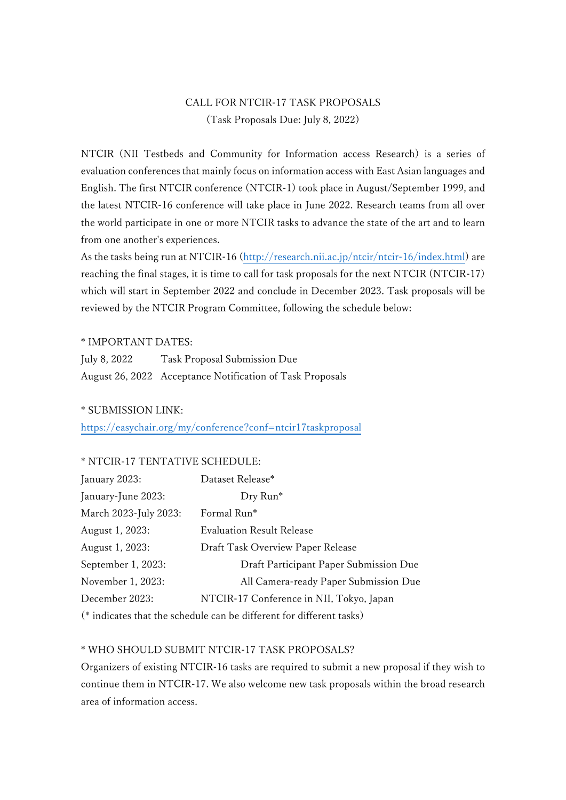# CALL FOR NTCIR-17 TASK PROPOSALS (Task Proposals Due: July 8, 2022)

NTCIR (NII Testbeds and Community for Information access Research) is a series of evaluation conferences that mainly focus on information access with East Asian languages and English. The first NTCIR conference (NTCIR-1) took place in August/September 1999, and the latest NTCIR-16 conference will take place in June 2022. Research teams from all over the world participate in one or more NTCIR tasks to advance the state of the art and to learn from one another's experiences.

As the tasks being run at NTCIR-16 [\(http://research.nii.ac.jp/ntcir/ntcir-16/index.html\)](http://research.nii.ac.jp/ntcir/ntcir-16/index.html) are reaching the final stages, it is time to call for task proposals for the next NTCIR (NTCIR-17) which will start in September 2022 and conclude in December 2023. Task proposals will be reviewed by the NTCIR Program Committee, following the schedule below:

#### \* IMPORTANT DATES:

| July 8, 2022 | Task Proposal Submission Due                              |
|--------------|-----------------------------------------------------------|
|              | August 26, 2022 Acceptance Notification of Task Proposals |

## \* SUBMISSION LINK:

<https://easychair.org/my/conference?conf=ntcir17taskproposal>

## \* NTCIR-17 TENTATIVE SCHEDULE:

| January 2023:                                                        | Dataset Release*                         |  |
|----------------------------------------------------------------------|------------------------------------------|--|
| January-June 2023:                                                   | Dry Run*                                 |  |
| March 2023-July 2023:                                                | Formal Run*                              |  |
| August 1, 2023:                                                      | <b>Evaluation Result Release</b>         |  |
| August 1, 2023:                                                      | Draft Task Overview Paper Release        |  |
| September 1, 2023:                                                   | Draft Participant Paper Submission Due   |  |
| November 1, 2023:                                                    | All Camera-ready Paper Submission Due    |  |
| December 2023:                                                       | NTCIR-17 Conference in NII, Tokyo, Japan |  |
| (* indicates that the schedule can be different for different tasks) |                                          |  |

## \* WHO SHOULD SUBMIT NTCIR-17 TASK PROPOSALS?

Organizers of existing NTCIR-16 tasks are required to submit a new proposal if they wish to continue them in NTCIR-17. We also welcome new task proposals within the broad research area of information access.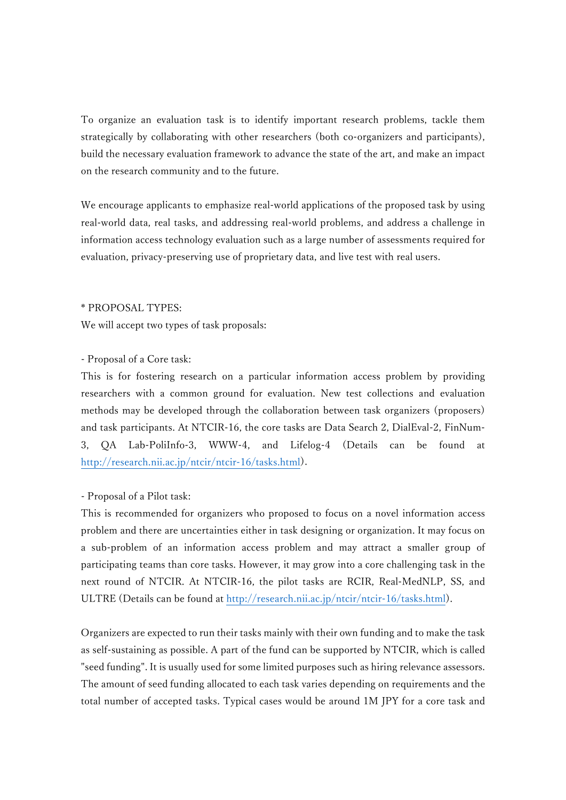To organize an evaluation task is to identify important research problems, tackle them strategically by collaborating with other researchers (both co-organizers and participants), build the necessary evaluation framework to advance the state of the art, and make an impact on the research community and to the future.

We encourage applicants to emphasize real-world applications of the proposed task by using real-world data, real tasks, and addressing real-world problems, and address a challenge in information access technology evaluation such as a large number of assessments required for evaluation, privacy-preserving use of proprietary data, and live test with real users.

#### \* PROPOSAL TYPES:

We will accept two types of task proposals:

## - Proposal of a Core task:

This is for fostering research on a particular information access problem by providing researchers with a common ground for evaluation. New test collections and evaluation methods may be developed through the collaboration between task organizers (proposers) and task participants. At NTCIR-16, the core tasks are Data Search 2, DialEval-2, FinNum-3, QA Lab-PoliInfo-3, WWW-4, and Lifelog-4 (Details can be found [http://research.nii.ac.jp/ntcir/ntcir-16/tasks.html\)](http://research.nii.ac.jp/ntcir/ntcir-16/tasks.html).

## - Proposal of a Pilot task:

This is recommended for organizers who proposed to focus on a novel information access problem and there are uncertainties either in task designing or organization. It may focus on a sub-problem of an information access problem and may attract a smaller group of participating teams than core tasks. However, it may grow into a core challenging task in the next round of NTCIR. At NTCIR-16, the pilot tasks are RCIR, Real-MedNLP, SS, and ULTRE (Details can be found at [http://research.nii.ac.jp/ntcir/ntcir-16/tasks.html\)](http://research.nii.ac.jp/ntcir/ntcir-16/tasks.html).

Organizers are expected to run their tasks mainly with their own funding and to make the task as self-sustaining as possible. A part of the fund can be supported by NTCIR, which is called "seed funding". It is usually used for some limited purposes such as hiring relevance assessors. The amount of seed funding allocated to each task varies depending on requirements and the total number of accepted tasks. Typical cases would be around 1M JPY for a core task and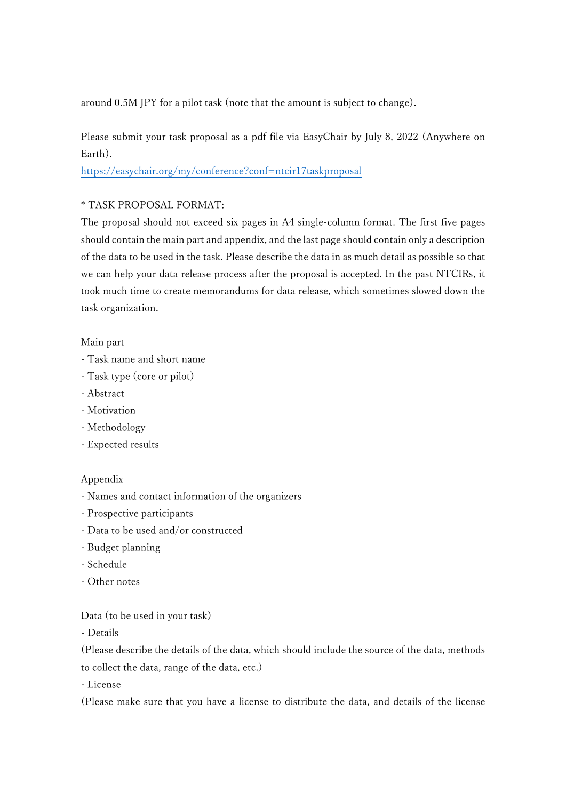around 0.5M JPY for a pilot task (note that the amount is subject to change).

Please submit your task proposal as a pdf file via EasyChair by July 8, 2022 (Anywhere on Earth).

<https://easychair.org/my/conference?conf=ntcir17taskproposal>

## \* TASK PROPOSAL FORMAT:

The proposal should not exceed six pages in A4 single-column format. The first five pages should contain the main part and appendix, and the last page should contain only a description of the data to be used in the task. Please describe the data in as much detail as possible so that we can help your data release process after the proposal is accepted. In the past NTCIRs, it took much time to create memorandums for data release, which sometimes slowed down the task organization.

## Main part

- Task name and short name
- Task type (core or pilot)
- Abstract
- Motivation
- Methodology
- Expected results

# Appendix

- Names and contact information of the organizers
- Prospective participants
- Data to be used and/or constructed
- Budget planning
- Schedule
- Other notes

## Data (to be used in your task)

- Details

(Please describe the details of the data, which should include the source of the data, methods to collect the data, range of the data, etc.)

- License

(Please make sure that you have a license to distribute the data, and details of the license